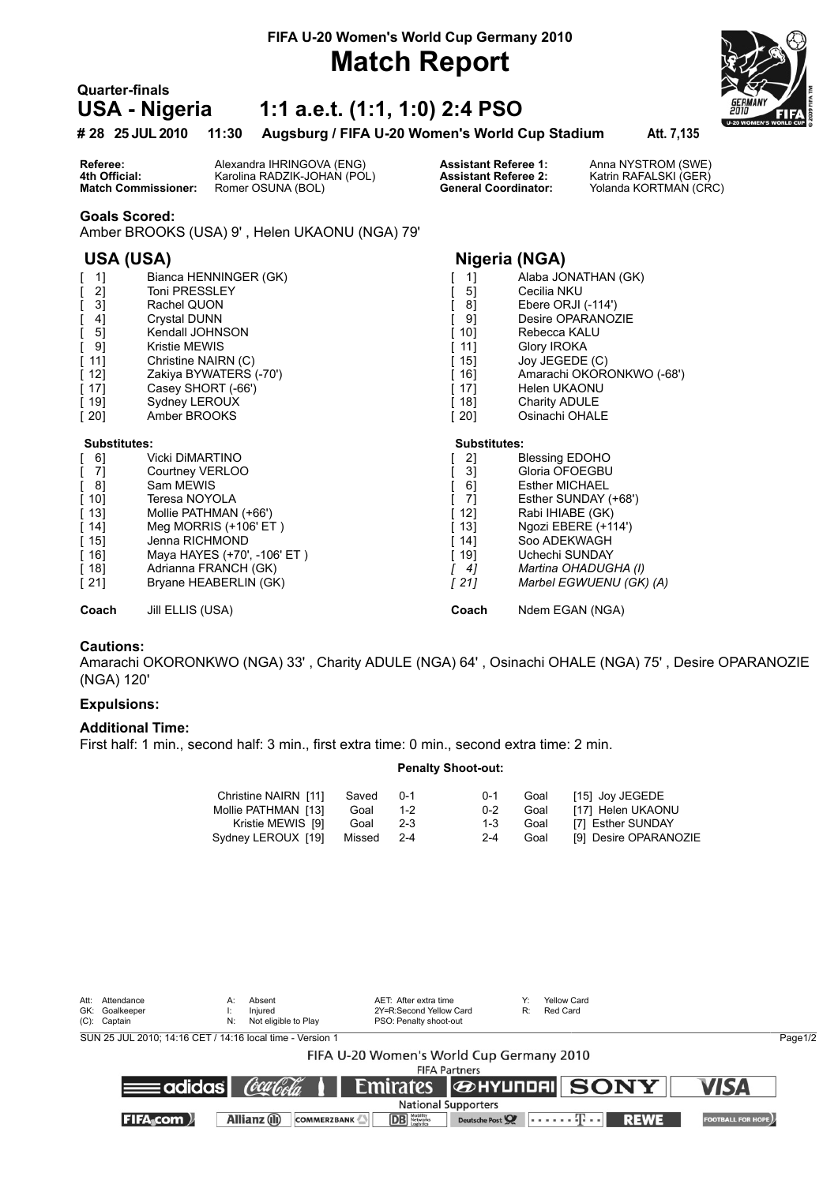## **Match Report**

# **Quarter-finals**<br>**USA - Nigeria**

### **USA - Nigeria 1:1 a.e.t. (1:1, 1:0) 2:4 PSO**



**# 28 25 JUL 2010 11:30 Augsburg / FIFA U-20 Women's World Cup Stadium Att. 7,135**

**Referee:** Alexandra IHRINGOVA (ENG) **Assistant Referee 1:** Anna NYSTROM (SWE)<br> **4th Official:** Karolina RADZIK-JOHAN (POL) **Assistant Referee 2:** Katrin RAFALSKI (GER) **4th Official:** Karolina RADZIK-JOHAN (POL) **Assistant Referee 2:** Match Commissioner: Romer OSUNA (BOL) **General Coordinator:** 

Yolanda KORTMAN (CRC)

#### **Goals Scored:**

Amber BROOKS (USA) 9' , Helen UKAONU (NGA) 79'

### **USA (USA) Nigeria (NGA)**

| $\begin{bmatrix} 1 \end{bmatrix}$ | Bianca HENNINGER (GK)       | 1]                  | Alaba JONATHAN (GK)       |
|-----------------------------------|-----------------------------|---------------------|---------------------------|
| 2]                                | Toni PRESSLEY               | 5]                  | Cecilia NKU               |
| 3]                                | Rachel QUON                 | 8]                  | Ebere ORJI (-114')        |
| 4]                                | Crystal DUNN                | 9]                  | Desire OPARANOZIE         |
| 5]                                | Kendall JOHNSON             | 10]                 | Rebecca KALU              |
| 9]                                | Kristie MEWIS               | 11]                 | Glory IROKA               |
| [ 11]                             | Christine NAIRN (C)         | 15]                 | Joy JEGEDE (C)            |
| [ 12]                             | Zakiya BYWATERS (-70')      | 16]                 | Amarachi OKORONKWO (-68') |
| [ 17]                             | Casey SHORT (-66')          | 17]                 | Helen UKAONU              |
| [ 19]                             | Sydney LEROUX               | [ 18]               | Charity ADULE             |
| [ 20]                             | Amber BROOKS                | [20]                | Osinachi OHALE            |
| <b>Substitutes:</b>               |                             | <b>Substitutes:</b> |                           |
| [ 6]                              | Vicki DiMARTINO             | 2]                  | <b>Blessing EDOHO</b>     |
| $\begin{bmatrix} 7 \end{bmatrix}$ | Courtney VERLOO             | 31                  | Gloria OFOEGBU            |
| [ 8]                              | Sam MEWIS                   | 61                  | <b>Esther MICHAEL</b>     |
| [ 10]                             | Teresa NOYOLA               | 71                  | Esther SUNDAY (+68')      |
| [ 13]                             | Mollie PATHMAN (+66')       | 12]                 | Rabi IHIABE (GK)          |
| [ 14]                             | Meg MORRIS (+106' ET)       | 13]                 | Ngozi EBERE (+114')       |
| [ 15]                             | Jenna RICHMOND              | 14]                 | Soo ADEKWAGH              |
| [ 16]                             | Maya HAYES (+70', -106' ET) | 19]                 | Uchechi SUNDAY            |
| [ 18]                             | Adrianna FRANCH (GK)        | 4]                  | Martina OHADUGHA (I)      |
| [ 21]                             | Bryane HEABERLIN (GK)       | [21]                | Marbel EGWUENU (GK) (A)   |
| Coach                             | Jill ELLIS (USA)            | Coach               | Ndem EGAN (NGA)           |

#### **Cautions:**

Amarachi OKORONKWO (NGA) 33' , Charity ADULE (NGA) 64' , Osinachi OHALE (NGA) 75' , Desire OPARANOZIE (NGA) 120'

#### **Expulsions:**

#### **Additional Time:**

First half: 1 min., second half: 3 min., first extra time: 0 min., second extra time: 2 min.

#### **Penalty Shoot-out:**

| Christine NAIRN [11] | Saved  | $0 - 1$ | $0 - 1$ | Goal | [15] Joy JEGEDE       |
|----------------------|--------|---------|---------|------|-----------------------|
| Mollie PATHMAN [13]  | Goal   | 1-2     | $0 - 2$ | Goal | [17] Helen UKAONU     |
| Kristie MEWIS [9]    | Goal   | $2 - 3$ | 1-3     | Goal | [7] Esther SUNDAY     |
| Sydney LEROUX [19]   | Missed | $2 - 4$ | $2 - 4$ | Goal | [9] Desire OPARANOZIE |

| Att:                       | Attendance<br>GK: Goalkeeper<br>$(C)$ : Captain           | A:<br>N: | Absent<br>Iniured<br>Not eligible to Play | AET: After extra time<br>2Y=R:Second Yellow Card<br>PSO: Penalty shoot-out | R:                   | Yellow Card<br>Red Card |             |                          |         |
|----------------------------|-----------------------------------------------------------|----------|-------------------------------------------|----------------------------------------------------------------------------|----------------------|-------------------------|-------------|--------------------------|---------|
|                            | SUN 25 JUL 2010: 14:16 CET / 14:16 local time - Version 1 |          |                                           |                                                                            |                      |                         |             |                          | Page1/2 |
|                            |                                                           |          |                                           | FIFA U-20 Women's World Cup Germany 2010                                   |                      |                         |             |                          |         |
|                            |                                                           |          |                                           |                                                                            | <b>FIFA Partners</b> |                         |             |                          |         |
|                            | $=$ adidas $\blacksquare$                                 |          | (òca faIa                                 | Emirates <b><i>G</i>HYUNDAI</b> SONY                                       |                      |                         |             | <b>VISA</b>              |         |
| <b>National Supporters</b> |                                                           |          |                                           |                                                                            |                      |                         |             |                          |         |
|                            | <b>FIFA</b> com )                                         |          | Allianz (ii)<br><b>COMMERZBANK</b>        | <b>DB</b> Networks                                                         | Deutsche Post        | باحدا المحدد حدا        | <b>REWE</b> | <b>FOOTBALL FOR HOPE</b> |         |